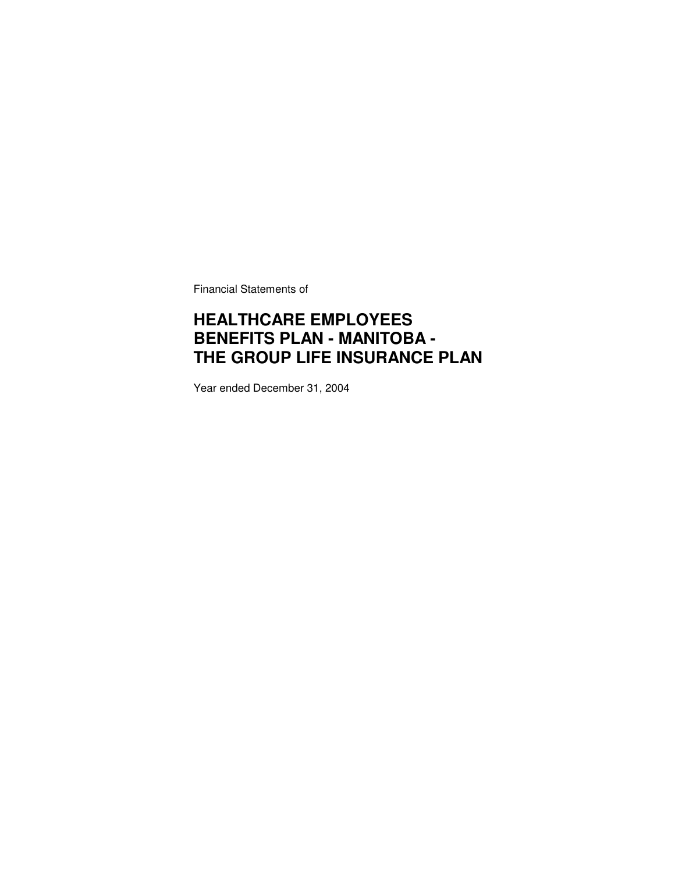Financial Statements of

## **HEALTHCARE EMPLOYEES BENEFITS PLAN - MANITOBA - THE GROUP LIFE INSURANCE PLAN**

Year ended December 31, 2004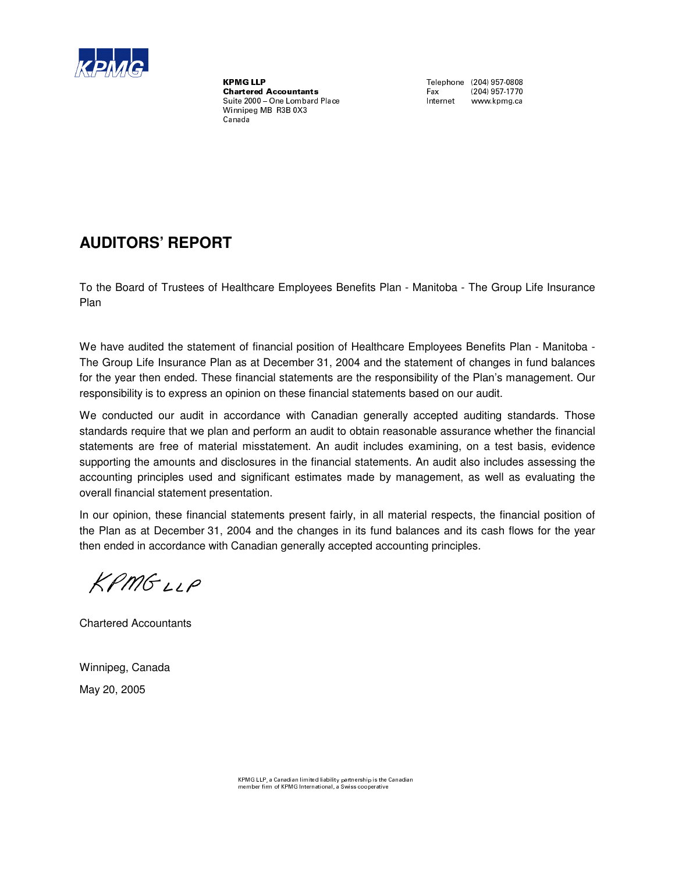

 $\textbf{Charactered \textbf{Accountants} }$   $\textbf{Exacted \textbf{Accountants} }$ Suite 2000 - One Lombard Place Winnipeg MB R3B 0X3 Canada

Fax (204) 957-1770<br>Internet www.kpmg.ca

## **AUDITORS' REPORT**

To the Board of Trustees of Healthcare Employees Benefits Plan - Manitoba - The Group Life Insurance Plan

We have audited the statement of financial position of Healthcare Employees Benefits Plan - Manitoba - The Group Life Insurance Plan as at December 31, 2004 and the statement of changes in fund balances for the year then ended. These financial statements are the responsibility of the Plan's management. Our responsibility is to express an opinion on these financial statements based on our audit.

We conducted our audit in accordance with Canadian generally accepted auditing standards. Those standards require that we plan and perform an audit to obtain reasonable assurance whether the financial statements are free of material misstatement. An audit includes examining, on a test basis, evidence supporting the amounts and disclosures in the financial statements. An audit also includes assessing the accounting principles used and significant estimates made by management, as well as evaluating the overall financial statement presentation.

In our opinion, these financial statements present fairly, in all material respects, the financial position of the Plan as at December 31, 2004 and the changes in its fund balances and its cash flows for the year then ended in accordance with Canadian generally accepted accounting principles.

KPMGLLP

Chartered Accountants

Winnipeg, Canada May 20, 2005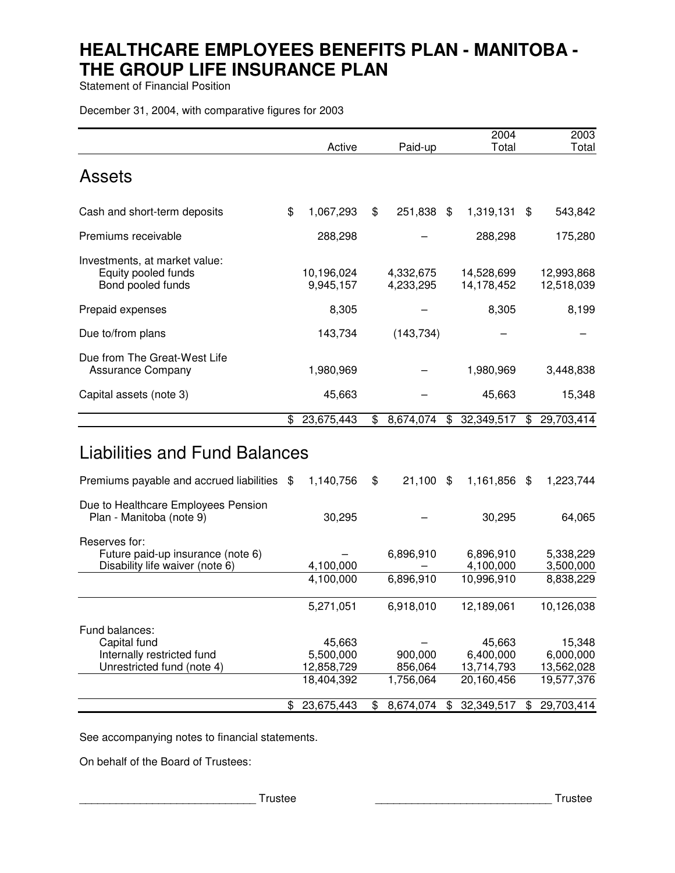Statement of Financial Position

December 31, 2004, with comparative figures for 2003

|                                                                                       |                         |                        | 2004                     | 2003                     |
|---------------------------------------------------------------------------------------|-------------------------|------------------------|--------------------------|--------------------------|
| <b>Assets</b>                                                                         | Active                  | Paid-up                | Total                    | Total                    |
| Cash and short-term deposits                                                          | \$<br>1,067,293         | \$<br>251,838 \$       | 1,319,131                | \$<br>543,842            |
| Premiums receivable                                                                   | 288,298                 |                        | 288,298                  | 175,280                  |
| Investments, at market value:<br>Equity pooled funds<br>Bond pooled funds             | 10,196,024<br>9,945,157 | 4,332,675<br>4,233,295 | 14,528,699<br>14,178,452 | 12,993,868<br>12,518,039 |
| Prepaid expenses                                                                      | 8,305                   |                        | 8,305                    | 8,199                    |
| Due to/from plans                                                                     | 143,734                 | (143, 734)             |                          |                          |
| Due from The Great-West Life<br><b>Assurance Company</b>                              | 1,980,969               |                        | 1,980,969                | 3,448,838                |
| Capital assets (note 3)                                                               | 45,663                  |                        | 45,663                   | 15,348                   |
|                                                                                       | \$<br>23,675,443        | \$<br>8,674,074        | \$<br>32,349,517         | \$<br>29,703,414         |
| <b>Liabilities and Fund Balances</b>                                                  |                         |                        |                          |                          |
| Premiums payable and accrued liabilities \$                                           | 1,140,756               | \$<br>$21,100$ \$      | 1,161,856 \$             | 1,223,744                |
| Due to Healthcare Employees Pension<br>Plan - Manitoba (note 9)                       | 30,295                  |                        | 30,295                   | 64,065                   |
| Reserves for:<br>Future paid-up insurance (note 6)<br>Disability life waiver (note 6) | 4,100,000               | 6,896,910              | 6,896,910<br>4,100,000   | 5,338,229<br>3,500,000   |
|                                                                                       | 4,100,000               | 6,896,910              | 10,996,910               | 8,838,229                |
|                                                                                       | 5,271,051               | 6,918,010              | 12,189,061               | 10,126,038               |

| Fund balances:             |              |           |                  |              |
|----------------------------|--------------|-----------|------------------|--------------|
| Capital fund               | 45,663       |           | 45,663           | 15,348       |
| Internally restricted fund | 5,500,000    | 900,000   | 6,400,000        | 6,000,000    |
| Unrestricted fund (note 4) | 12,858,729   | 856,064   | 13,714,793       | 13,562,028   |
|                            | 18.404.392   | 1,756,064 | 20,160,456       | 19,577,376   |
|                            | \$23,675,443 | 8.674.074 | 32,349,517<br>£. | \$29,703,414 |

See accompanying notes to financial statements.

On behalf of the Board of Trustees:

\_\_\_\_\_\_\_\_\_\_\_\_\_\_\_\_\_\_\_\_\_\_\_\_\_\_\_\_\_ Trustee \_\_\_\_\_\_\_\_\_\_\_\_\_\_\_\_\_\_\_\_\_\_\_\_\_\_\_\_\_ Trustee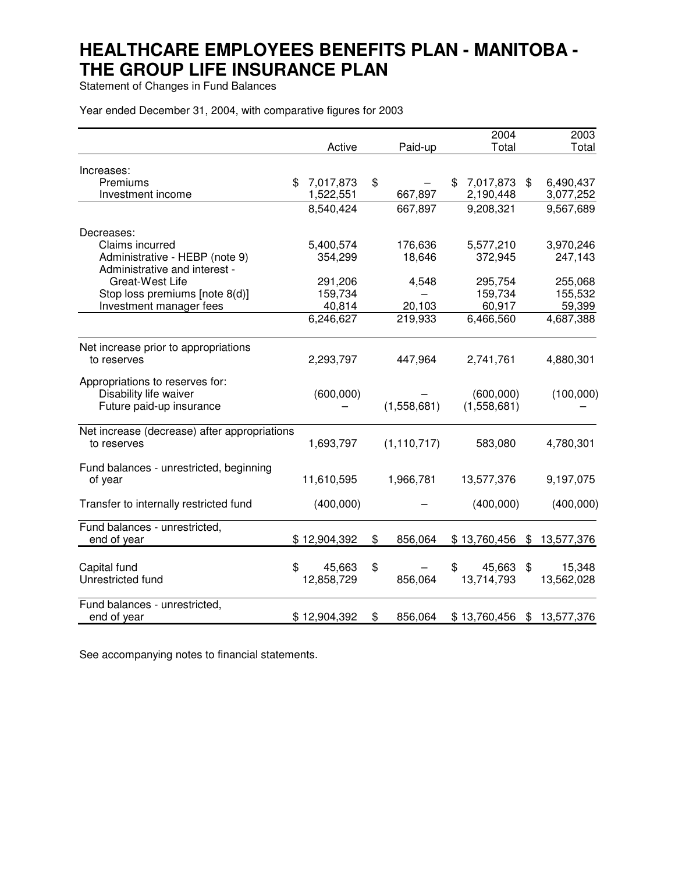Statement of Changes in Fund Balances

Year ended December 31, 2004, with comparative figures for 2003

|                                              |                 |               | 2004            | 2003             |
|----------------------------------------------|-----------------|---------------|-----------------|------------------|
|                                              | Active          | Paid-up       | Total           | Total            |
| Increases:                                   |                 |               |                 |                  |
| Premiums                                     | \$<br>7,017,873 | \$            | \$<br>7,017,873 | \$<br>6,490,437  |
| Investment income                            | 1,522,551       | 667,897       | 2,190,448       | 3,077,252        |
|                                              | 8,540,424       | 667,897       | 9,208,321       | 9,567,689        |
| Decreases:                                   |                 |               |                 |                  |
| Claims incurred                              | 5,400,574       | 176,636       | 5,577,210       | 3,970,246        |
| Administrative - HEBP (note 9)               | 354,299         | 18,646        | 372,945         | 247,143          |
| Administrative and interest -                |                 |               |                 |                  |
| Great-West Life                              | 291,206         | 4,548         | 295,754         | 255,068          |
| Stop loss premiums [note 8(d)]               | 159,734         |               | 159,734         | 155,532          |
| Investment manager fees                      | 40,814          | 20,103        | 60,917          | 59,399           |
|                                              | 6,246,627       | 219,933       | 6,466,560       | 4,687,388        |
| Net increase prior to appropriations         |                 |               |                 |                  |
| to reserves                                  | 2,293,797       | 447,964       | 2,741,761       | 4,880,301        |
| Appropriations to reserves for:              |                 |               |                 |                  |
| Disability life waiver                       | (600,000)       |               | (600,000)       | (100,000)        |
| Future paid-up insurance                     |                 | (1,558,681)   | (1,558,681)     |                  |
| Net increase (decrease) after appropriations |                 |               |                 |                  |
| to reserves                                  | 1,693,797       | (1, 110, 717) | 583,080         | 4,780,301        |
| Fund balances - unrestricted, beginning      |                 |               |                 |                  |
| of year                                      | 11,610,595      | 1,966,781     | 13,577,376      | 9,197,075        |
| Transfer to internally restricted fund       | (400,000)       |               | (400,000)       | (400,000)        |
| Fund balances - unrestricted,                |                 |               |                 |                  |
| end of year                                  | \$12,904,392    | \$<br>856,064 | \$13,760,456    | \$<br>13,577,376 |
| Capital fund                                 | \$<br>45,663    | \$            | \$<br>45,663    | \$<br>15,348     |
| Unrestricted fund                            | 12,858,729      | 856,064       | 13,714,793      | 13,562,028       |
| Fund balances - unrestricted,                |                 |               |                 |                  |
| end of year                                  | \$12,904,392    | \$<br>856,064 | \$13,760,456    | \$13,577,376     |

See accompanying notes to financial statements.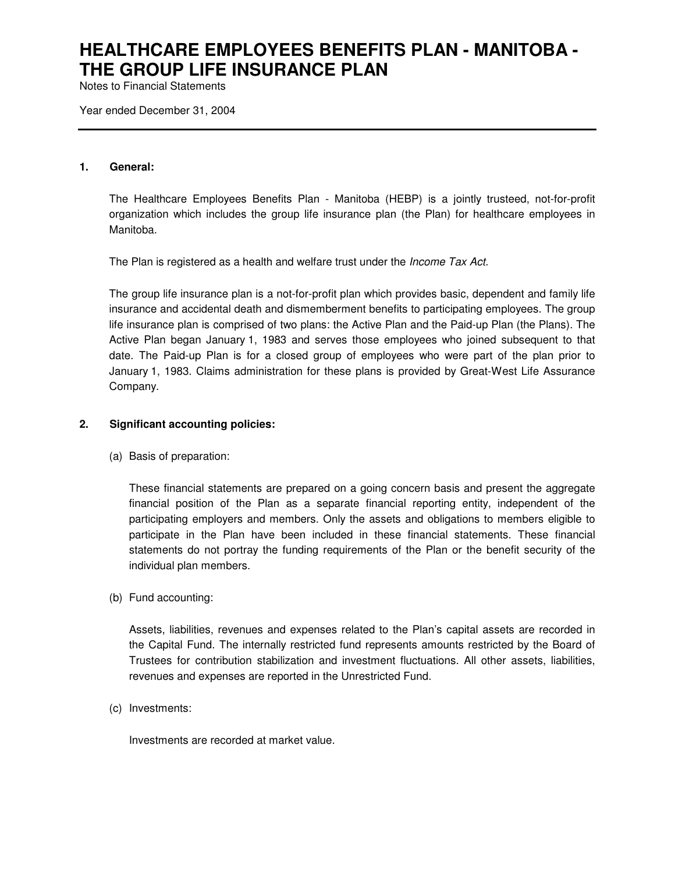Notes to Financial Statements

Year ended December 31, 2004

#### **1. General:**

The Healthcare Employees Benefits Plan - Manitoba (HEBP) is a jointly trusteed, not-for-profit organization which includes the group life insurance plan (the Plan) for healthcare employees in Manitoba.

The Plan is registered as a health and welfare trust under the *Income Tax Act.*

The group life insurance plan is a not-for-profit plan which provides basic, dependent and family life insurance and accidental death and dismemberment benefits to participating employees. The group life insurance plan is comprised of two plans: the Active Plan and the Paid-up Plan (the Plans). The Active Plan began January 1, 1983 and serves those employees who joined subsequent to that date. The Paid-up Plan is for a closed group of employees who were part of the plan prior to January 1, 1983. Claims administration for these plans is provided by Great-West Life Assurance Company.

## **2. Significant accounting policies:**

(a) Basis of preparation:

These financial statements are prepared on a going concern basis and present the aggregate financial position of the Plan as a separate financial reporting entity, independent of the participating employers and members. Only the assets and obligations to members eligible to participate in the Plan have been included in these financial statements. These financial statements do not portray the funding requirements of the Plan or the benefit security of the individual plan members.

(b) Fund accounting:

Assets, liabilities, revenues and expenses related to the Plan's capital assets are recorded in the Capital Fund. The internally restricted fund represents amounts restricted by the Board of Trustees for contribution stabilization and investment fluctuations. All other assets, liabilities, revenues and expenses are reported in the Unrestricted Fund.

(c) Investments:

Investments are recorded at market value.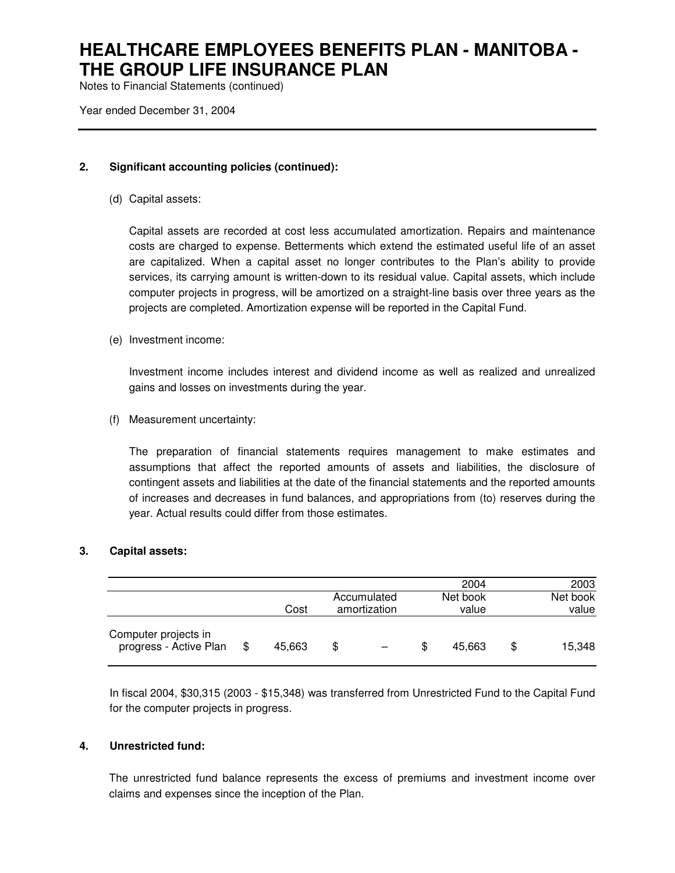Notes to Financial Statements (continued)

Year ended December 31, 2004

## **2. Significant accounting policies (continued):**

(d) Capital assets:

Capital assets are recorded at cost less accumulated amortization. Repairs and maintenance costs are charged to expense. Betterments which extend the estimated useful life of an asset are capitalized. When a capital asset no longer contributes to the Plan's ability to provide services, its carrying amount is written-down to its residual value. Capital assets, which include computer projects in progress, will be amortized on a straight-line basis over three years as the projects are completed. Amortization expense will be reported in the Capital Fund.

(e) Investment income:

Investment income includes interest and dividend income as well as realized and unrealized gains and losses on investments during the year.

(f) Measurement uncertainty:

The preparation of financial statements requires management to make estimates and assumptions that affect the reported amounts of assets and liabilities, the disclosure of contingent assets and liabilities at the date of the financial statements and the reported amounts of increases and decreases in fund balances, and appropriations from (to) reserves during the year. Actual results could differ from those estimates.

#### **3. Capital assets:**

|                                                |              |     |              | 2004         | 2003         |
|------------------------------------------------|--------------|-----|--------------|--------------|--------------|
|                                                |              |     | Accumulated  | Net book     | Net book     |
|                                                | Cost         |     | amortization | value        | value        |
| Computer projects in<br>progress - Active Plan | \$<br>45,663 | \$. |              | \$<br>45.663 | \$<br>15,348 |

In fiscal 2004, \$30,315 (2003 - \$15,348) was transferred from Unrestricted Fund to the Capital Fund for the computer projects in progress.

## **4. Unrestricted fund:**

The unrestricted fund balance represents the excess of premiums and investment income over claims and expenses since the inception of the Plan.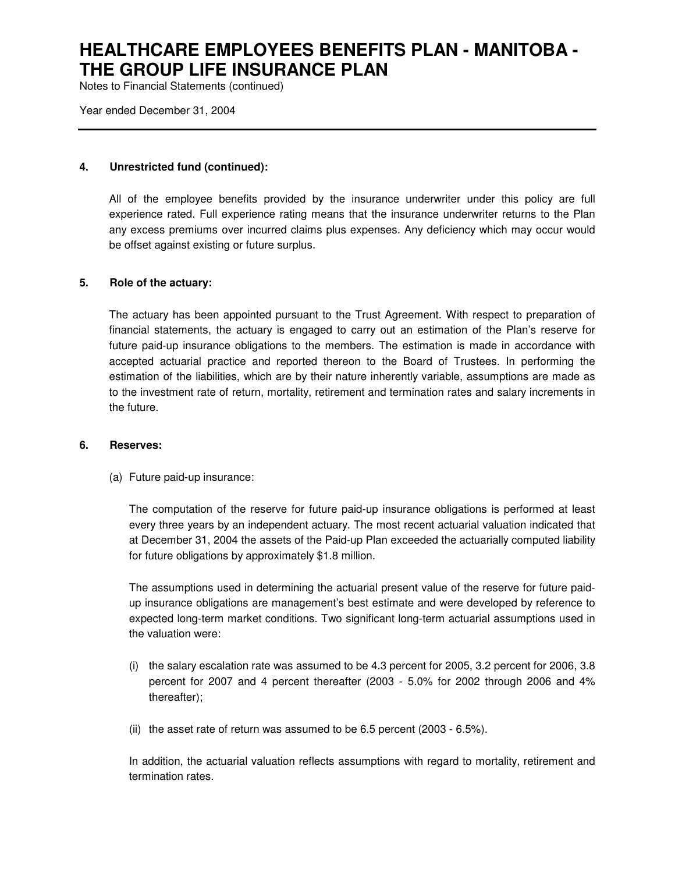Notes to Financial Statements (continued)

Year ended December 31, 2004

## **4. Unrestricted fund (continued):**

All of the employee benefits provided by the insurance underwriter under this policy are full experience rated. Full experience rating means that the insurance underwriter returns to the Plan any excess premiums over incurred claims plus expenses. Any deficiency which may occur would be offset against existing or future surplus.

### **5. Role of the actuary:**

The actuary has been appointed pursuant to the Trust Agreement. With respect to preparation of financial statements, the actuary is engaged to carry out an estimation of the Plan's reserve for future paid-up insurance obligations to the members. The estimation is made in accordance with accepted actuarial practice and reported thereon to the Board of Trustees. In performing the estimation of the liabilities, which are by their nature inherently variable, assumptions are made as to the investment rate of return, mortality, retirement and termination rates and salary increments in the future.

#### **6. Reserves:**

(a) Future paid-up insurance:

The computation of the reserve for future paid-up insurance obligations is performed at least every three years by an independent actuary. The most recent actuarial valuation indicated that at December 31, 2004 the assets of the Paid-up Plan exceeded the actuarially computed liability for future obligations by approximately \$1.8 million.

The assumptions used in determining the actuarial present value of the reserve for future paidup insurance obligations are management's best estimate and were developed by reference to expected long-term market conditions. Two significant long-term actuarial assumptions used in the valuation were:

- (i) the salary escalation rate was assumed to be 4.3 percent for 2005, 3.2 percent for 2006, 3.8 percent for 2007 and 4 percent thereafter (2003 - 5.0% for 2002 through 2006 and 4% thereafter);
- (ii) the asset rate of return was assumed to be  $6.5$  percent (2003  $6.5\%$ ).

In addition, the actuarial valuation reflects assumptions with regard to mortality, retirement and termination rates.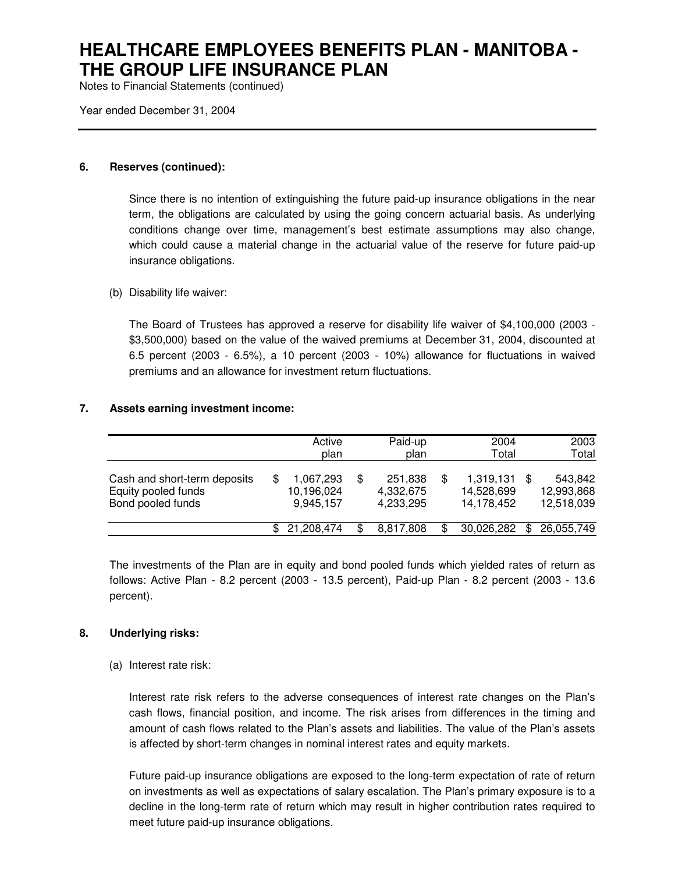Notes to Financial Statements (continued)

Year ended December 31, 2004

## **6. Reserves (continued):**

Since there is no intention of extinguishing the future paid-up insurance obligations in the near term, the obligations are calculated by using the going concern actuarial basis. As underlying conditions change over time, management's best estimate assumptions may also change, which could cause a material change in the actuarial value of the reserve for future paid-up insurance obligations.

## (b) Disability life waiver:

The Board of Trustees has approved a reserve for disability life waiver of \$4,100,000 (2003 - \$3,500,000) based on the value of the waived premiums at December 31, 2004, discounted at 6.5 percent (2003 - 6.5%), a 10 percent (2003 - 10%) allowance for fluctuations in waived premiums and an allowance for investment return fluctuations.

## **7. Assets earning investment income:**

|                                                                          |     | Active<br>plan                       |   | Paid-up<br>plan                   | 2004<br>Total                         |     | 2003<br>Total                       |
|--------------------------------------------------------------------------|-----|--------------------------------------|---|-----------------------------------|---------------------------------------|-----|-------------------------------------|
| Cash and short-term deposits<br>Equity pooled funds<br>Bond pooled funds | \$. | 1,067,293<br>10,196,024<br>9.945.157 | S | 251,838<br>4,332,675<br>4,233,295 | 1,319,131<br>14,528,699<br>14,178,452 |     | 543.842<br>12,993,868<br>12,518,039 |
|                                                                          | \$  | 21,208,474                           | S | 8,817,808                         | 30,026,282                            | \$. | 26,055,749                          |

The investments of the Plan are in equity and bond pooled funds which yielded rates of return as follows: Active Plan - 8.2 percent (2003 - 13.5 percent), Paid-up Plan - 8.2 percent (2003 - 13.6 percent).

## **8. Underlying risks:**

## (a) Interest rate risk:

Interest rate risk refers to the adverse consequences of interest rate changes on the Plan's cash flows, financial position, and income. The risk arises from differences in the timing and amount of cash flows related to the Plan's assets and liabilities. The value of the Plan's assets is affected by short-term changes in nominal interest rates and equity markets.

Future paid-up insurance obligations are exposed to the long-term expectation of rate of return on investments as well as expectations of salary escalation. The Plan's primary exposure is to a decline in the long-term rate of return which may result in higher contribution rates required to meet future paid-up insurance obligations.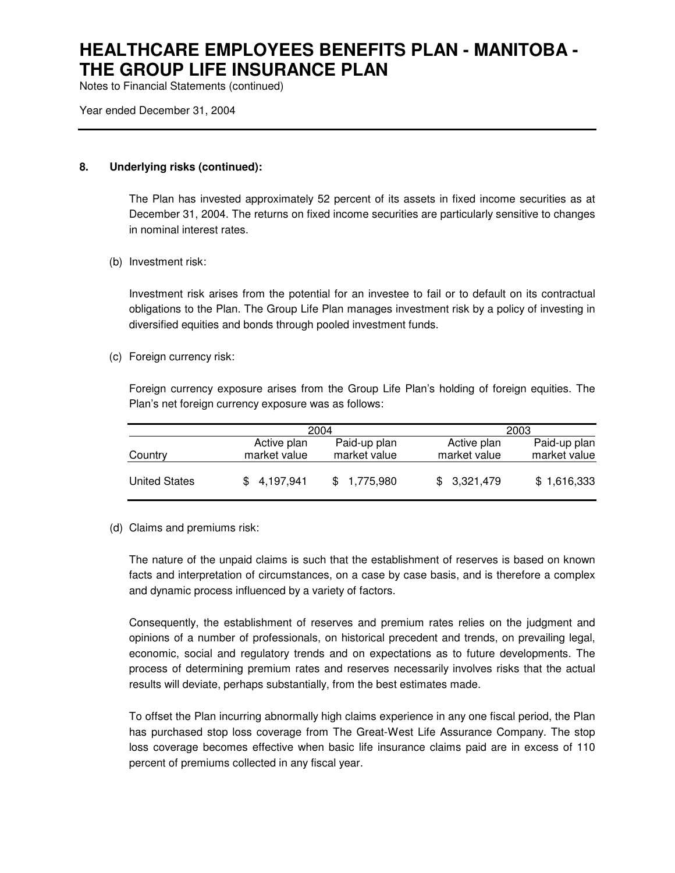Notes to Financial Statements (continued)

Year ended December 31, 2004

## **8. Underlying risks (continued):**

The Plan has invested approximately 52 percent of its assets in fixed income securities as at December 31, 2004. The returns on fixed income securities are particularly sensitive to changes in nominal interest rates.

(b) Investment risk:

Investment risk arises from the potential for an investee to fail or to default on its contractual obligations to the Plan. The Group Life Plan manages investment risk by a policy of investing in diversified equities and bonds through pooled investment funds.

(c) Foreign currency risk:

Foreign currency exposure arises from the Group Life Plan's holding of foreign equities. The Plan's net foreign currency exposure was as follows:

|                      |                             | 2004                         |                             | 2003                         |  |  |
|----------------------|-----------------------------|------------------------------|-----------------------------|------------------------------|--|--|
| Country              | Active plan<br>market value | Paid-up plan<br>market value | Active plan<br>market value | Paid-up plan<br>market value |  |  |
| <b>United States</b> | 4.197.941                   | \$1.775.980                  | \$3,321,479                 | \$1,616,333                  |  |  |

(d) Claims and premiums risk:

The nature of the unpaid claims is such that the establishment of reserves is based on known facts and interpretation of circumstances, on a case by case basis, and is therefore a complex and dynamic process influenced by a variety of factors.

Consequently, the establishment of reserves and premium rates relies on the judgment and opinions of a number of professionals, on historical precedent and trends, on prevailing legal, economic, social and regulatory trends and on expectations as to future developments. The process of determining premium rates and reserves necessarily involves risks that the actual results will deviate, perhaps substantially, from the best estimates made.

To offset the Plan incurring abnormally high claims experience in any one fiscal period, the Plan has purchased stop loss coverage from The Great-West Life Assurance Company. The stop loss coverage becomes effective when basic life insurance claims paid are in excess of 110 percent of premiums collected in any fiscal year.